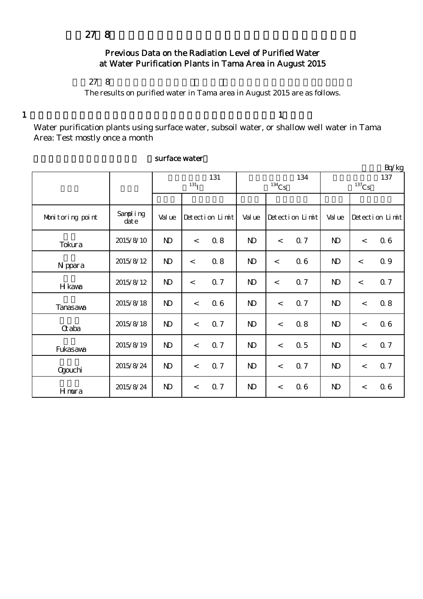# Previous Data on the Radiation Level of Purified Water at Water Purification Plants in Tama Area in August 2015

## $278$

The results on purified water in Tama area in August 2015 are as follows.

 $1$  and  $1$ 

Water purification plants using surface water, subsoil water, or shallow well water in Tama Area: Test mostly once a month

|                  |                      |                   |         |                 |              |          |                 |                 |                          | Bq/kg           |
|------------------|----------------------|-------------------|---------|-----------------|--------------|----------|-----------------|-----------------|--------------------------|-----------------|
|                  |                      | 131<br>$^{131}$ I |         |                 |              | $134$ Cs | 134             | 137<br>$137$ Cs |                          |                 |
|                  |                      |                   |         |                 |              |          |                 |                 |                          |                 |
| Monitoring point | Sampling<br>$\det e$ | Val ue            |         | Detection Limit | Val ue       |          | Detection Limit | Val ue          |                          | Detection Limit |
| Tokura           | 2015/8/10            | $\mathbf{N}$      | $\lt$   | 08              | $\mathbf{D}$ | $\,<$    | 0.7             | $\mathbf{N}$    | $\,<$                    | 0.6             |
| N ppara          | 2015/8/12            | $\mathbf{D}$      | $\,<$   | 0.8             | $\mathbf{D}$ | $\prec$  | 06              | $\mathbf{N}$    | $\lt$                    | 0.9             |
| H kava           | 2015/8/12            | $\mathbf{D}$      | $\,<\,$ | 0.7             | $\mathbf{D}$ | $\lt$    | 0.7             | N <sub>D</sub>  | $\lt$                    | 0.7             |
| Tanasawa         | 2015/8/18            | $\mathbf{D}$      | $\lt$   | 06              | $\mathbf{D}$ | $\lt$    | 0.7             | N <sub>D</sub>  | $\lt$                    | 0.8             |
| $\alpha$ aba     | 2015/8/18            | $\mathbf{N}$      | $\lt$   | 0.7             | $\mathbf{D}$ | $\lt$    | 0.8             | $\mathbf{N}$    | $\lt$                    | 06              |
| Fukasawa         | 2015/8/19            | $\mathbf{N}$      | $\lt$   | 0.7             | $\mathbf{D}$ | $\,<$    | 0.5             | N <sub>D</sub>  | $\,<$                    | 0.7             |
| <b>Ogouchi</b>   | 2015/8/24            | $\mathbf{N}$      | $\lt$   | 0.7             | $\mathbf{D}$ | $\lt$    | 0.7             | $\mathbf{N}$    | $\overline{\phantom{a}}$ | Q 7             |
| Hmura            | 2015/8/24            | $\mathbf{D}$      | $\lt$   | 0.7             | $\mathbf{D}$ | $\lt$    | 06              | N <sub>D</sub>  | $\,<$                    | 06              |

#### surface water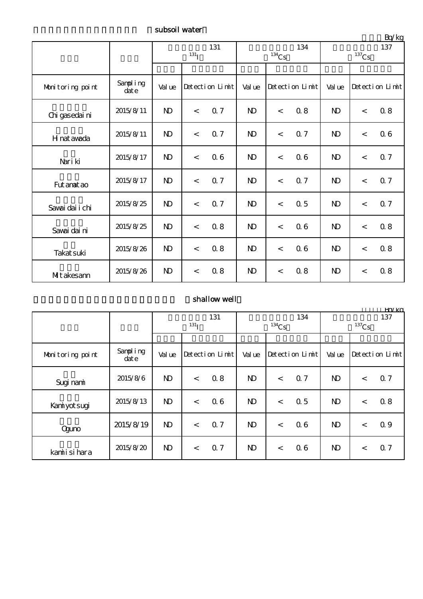subsoil water

|                  |                   |              | 131<br>$^{131}$ I |     |                | $134$ Cs        | 134        | 137<br>$137$ Cs |                 |     |
|------------------|-------------------|--------------|-------------------|-----|----------------|-----------------|------------|-----------------|-----------------|-----|
|                  |                   |              |                   |     |                |                 |            |                 |                 |     |
| Monitoring point | Sampling<br>dat e | Val ue       | Detection Limit   |     | Val ue         | Detection Limit |            | Val ue          | Detection Limit |     |
| Chi gasedai ni   | 2015/8/11         | $\mathbf{D}$ | $\lt$             | Q 7 | $\mathbf{D}$   | $\,<$           | 0.8        | $\mathbf{D}$    | $\lt$           | 0.8 |
| H nat awada      | 2015/8/11         | $\mathbf{D}$ | $\lt$             | Q 7 | $\mathbf{D}$   | $\,<$           | <b>Q</b> 7 | $\mathbf{N}$    | $\lt$           | 06  |
| Nari ki          | 2015/8/17         | $\mathbf{D}$ | $\lt$             | 06  | N <sub>D</sub> | $\,<$           | 06         | N <sub>D</sub>  | $\,<$           | 0.7 |
| Fut anat ao      | 2015/8/17         | $\mathbf{D}$ | $\lt$             | 0.7 | $\mathbf{D}$   | $\lt$           | 0.7        | $\mathbf{N}$    | $\lt$           | Q 7 |
| Sawai dai i chi  | 2015/8/25         | $\mathbf{D}$ | $\lt$             | 0.7 | $\mathbf{D}$   | $\,<$           | 0.5        | $\mathbf{N}$    | $\lt$           | Q 7 |
| Savai dai ni     | 2015/8/25         | $\mathbf{D}$ | $\lt$             | 0.8 | $\mathbf{D}$   | $\,<$           | 06         | $\mathbf{D}$    | $\lt$           | 0.8 |
| Takat suki       | 2015/8/26         | $\mathbf{D}$ | $\lt$             | 0.8 | $\mathbf{D}$   | $\,<$           | 06         | N <sub>D</sub>  | $\lt$           | 0.8 |
| MItakesann       | 2015/8/26         | $\mathbf{D}$ | $\lt$             | 0.8 | $\mathbf{D}$   | $\lt$           | 0.8        | $\mathbf{N}$    | $\,<\,$         | 0.8 |

### shallow well

|                  |                      | Ka/ko          |       |                 |              |                |                 |                |         |                      |
|------------------|----------------------|----------------|-------|-----------------|--------------|----------------|-----------------|----------------|---------|----------------------|
|                  |                      | 131            |       |                 | 134          |                |                 | 137            |         |                      |
|                  |                      | $^{131}$ I     |       |                 | $134$ Cs     |                |                 | $137$ Cs       |         |                      |
|                  |                      |                |       |                 |              |                |                 |                |         |                      |
| Monitoring point | Sampling<br>$\det e$ | Val ue         |       | Detection Limit | Val ue       |                | Detection Limit | Val ue         |         | $Detecti$ on $Limit$ |
| Sugi nami        | 2015/8/6             | $\mathbf{D}$   | $\lt$ | 0.8             | $\mathbf{D}$ | $\lt$          | Q <sub>7</sub>  | N <sub>D</sub> | $\,<\,$ | 0.7                  |
| Kaniyot sugi     | 2015/8/13            | N <sub>D</sub> | $\lt$ | 06              | $\mathbf{D}$ | $\,<\,$        | $\Omega$ 5      | N <sub>D</sub> | $\,<\,$ | 0.8                  |
| Qauno            | 2015/8/19            | N <sub>D</sub> | $\lt$ | 0.7             | $\mathbf{D}$ | $\lt$          | 06              | $\mathbf{D}$   | $\lt$   | 0.9                  |
| kamiisi hara     | 2015/8/20            | N <sub>D</sub> | $\lt$ | 0.7             | $\mathbf{D}$ | $\overline{a}$ | 06              | N <sub>D</sub> | $\,<\,$ | 0.7                  |

単位:Bq/kg